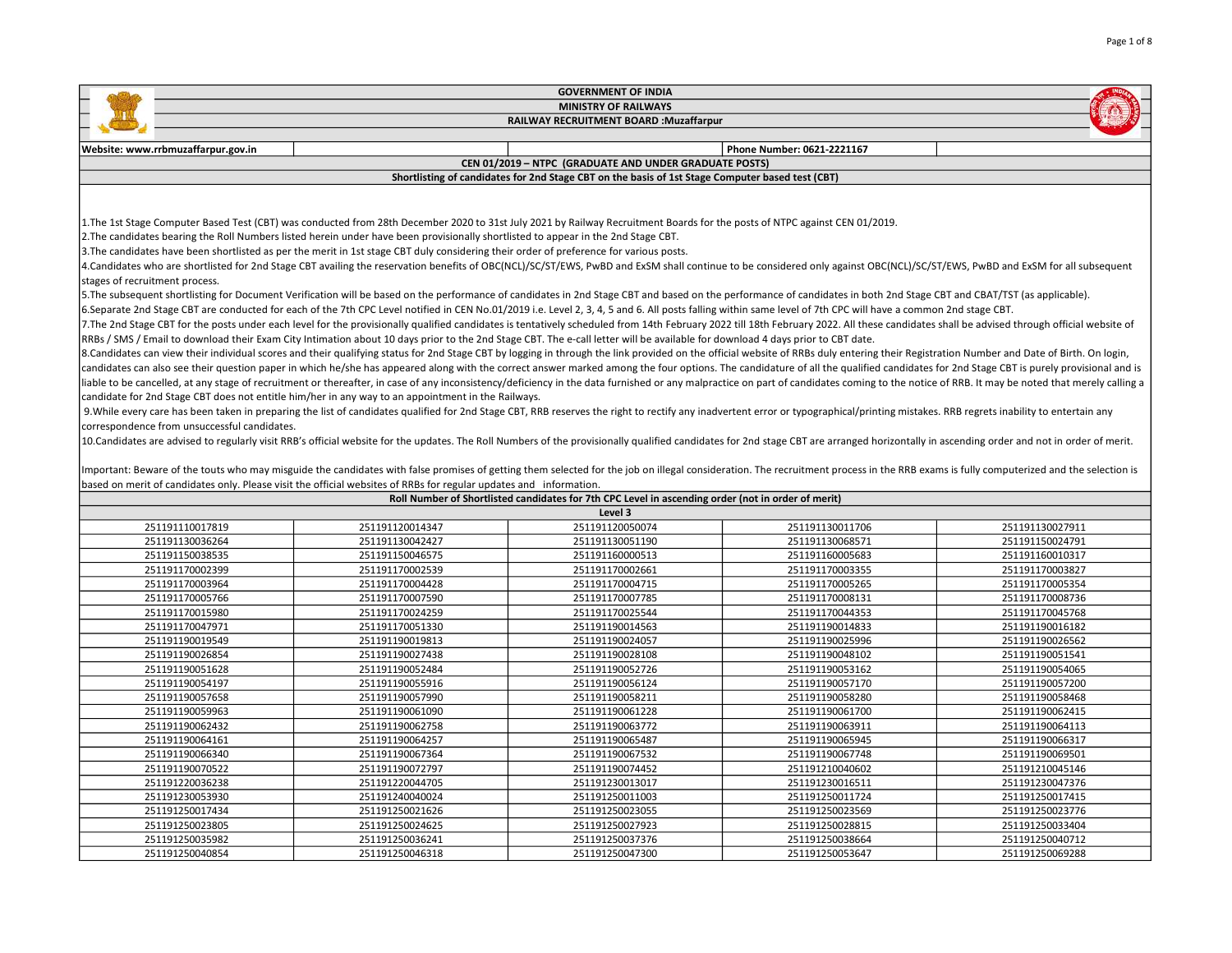|                                                                                |                                                                                                                                                                                                                                                                                                                                                                                                                                                                                                                                                                                                                                                                                                                                                                                                                                                                                                                                                                                                                                                                                                                                                                                                                                                                                                                                                                                                                                                                                                                                                                                                                                                                                                                                                                                                                                                                                                                                                                                                                                                                                                                                                                                                                                                                                                                                                                                                                                                                                                                                                                                                           | <b>GOVERNMENT OF INDIA</b>                                                                         |                                      |                                      |  |
|--------------------------------------------------------------------------------|-----------------------------------------------------------------------------------------------------------------------------------------------------------------------------------------------------------------------------------------------------------------------------------------------------------------------------------------------------------------------------------------------------------------------------------------------------------------------------------------------------------------------------------------------------------------------------------------------------------------------------------------------------------------------------------------------------------------------------------------------------------------------------------------------------------------------------------------------------------------------------------------------------------------------------------------------------------------------------------------------------------------------------------------------------------------------------------------------------------------------------------------------------------------------------------------------------------------------------------------------------------------------------------------------------------------------------------------------------------------------------------------------------------------------------------------------------------------------------------------------------------------------------------------------------------------------------------------------------------------------------------------------------------------------------------------------------------------------------------------------------------------------------------------------------------------------------------------------------------------------------------------------------------------------------------------------------------------------------------------------------------------------------------------------------------------------------------------------------------------------------------------------------------------------------------------------------------------------------------------------------------------------------------------------------------------------------------------------------------------------------------------------------------------------------------------------------------------------------------------------------------------------------------------------------------------------------------------------------------|----------------------------------------------------------------------------------------------------|--------------------------------------|--------------------------------------|--|
| <b>MINISTRY OF RAILWAYS</b>                                                    |                                                                                                                                                                                                                                                                                                                                                                                                                                                                                                                                                                                                                                                                                                                                                                                                                                                                                                                                                                                                                                                                                                                                                                                                                                                                                                                                                                                                                                                                                                                                                                                                                                                                                                                                                                                                                                                                                                                                                                                                                                                                                                                                                                                                                                                                                                                                                                                                                                                                                                                                                                                                           |                                                                                                    |                                      |                                      |  |
|                                                                                | RAILWAY RECRUITMENT BOARD : Muzaffarpur                                                                                                                                                                                                                                                                                                                                                                                                                                                                                                                                                                                                                                                                                                                                                                                                                                                                                                                                                                                                                                                                                                                                                                                                                                                                                                                                                                                                                                                                                                                                                                                                                                                                                                                                                                                                                                                                                                                                                                                                                                                                                                                                                                                                                                                                                                                                                                                                                                                                                                                                                                   |                                                                                                    |                                      |                                      |  |
|                                                                                |                                                                                                                                                                                                                                                                                                                                                                                                                                                                                                                                                                                                                                                                                                                                                                                                                                                                                                                                                                                                                                                                                                                                                                                                                                                                                                                                                                                                                                                                                                                                                                                                                                                                                                                                                                                                                                                                                                                                                                                                                                                                                                                                                                                                                                                                                                                                                                                                                                                                                                                                                                                                           |                                                                                                    |                                      |                                      |  |
| Website: www.rrbmuzaffarpur.gov.in                                             |                                                                                                                                                                                                                                                                                                                                                                                                                                                                                                                                                                                                                                                                                                                                                                                                                                                                                                                                                                                                                                                                                                                                                                                                                                                                                                                                                                                                                                                                                                                                                                                                                                                                                                                                                                                                                                                                                                                                                                                                                                                                                                                                                                                                                                                                                                                                                                                                                                                                                                                                                                                                           |                                                                                                    | Phone Number: 0621-2221167           |                                      |  |
|                                                                                |                                                                                                                                                                                                                                                                                                                                                                                                                                                                                                                                                                                                                                                                                                                                                                                                                                                                                                                                                                                                                                                                                                                                                                                                                                                                                                                                                                                                                                                                                                                                                                                                                                                                                                                                                                                                                                                                                                                                                                                                                                                                                                                                                                                                                                                                                                                                                                                                                                                                                                                                                                                                           | CEN 01/2019 - NTPC (GRADUATE AND UNDER GRADUATE POSTS)                                             |                                      |                                      |  |
|                                                                                |                                                                                                                                                                                                                                                                                                                                                                                                                                                                                                                                                                                                                                                                                                                                                                                                                                                                                                                                                                                                                                                                                                                                                                                                                                                                                                                                                                                                                                                                                                                                                                                                                                                                                                                                                                                                                                                                                                                                                                                                                                                                                                                                                                                                                                                                                                                                                                                                                                                                                                                                                                                                           | Shortlisting of candidates for 2nd Stage CBT on the basis of 1st Stage Computer based test (CBT)   |                                      |                                      |  |
|                                                                                |                                                                                                                                                                                                                                                                                                                                                                                                                                                                                                                                                                                                                                                                                                                                                                                                                                                                                                                                                                                                                                                                                                                                                                                                                                                                                                                                                                                                                                                                                                                                                                                                                                                                                                                                                                                                                                                                                                                                                                                                                                                                                                                                                                                                                                                                                                                                                                                                                                                                                                                                                                                                           |                                                                                                    |                                      |                                      |  |
| stages of recruitment process.<br>correspondence from unsuccessful candidates. | 1. The 1st Stage Computer Based Test (CBT) was conducted from 28th December 2020 to 31st July 2021 by Railway Recruitment Boards for the posts of NTPC against CEN 01/2019.<br>2. The candidates bearing the Roll Numbers listed herein under have been provisionally shortlisted to appear in the 2nd Stage CBT.<br>3. The candidates have been shortlisted as per the merit in 1st stage CBT duly considering their order of preference for various posts.<br>4.Candidates who are shortlisted for 2nd Stage CBT availing the reservation benefits of OBC(NCL)/SC/ST/EWS, PwBD and ExSM shall continue to be considered only against OBC(NCL)/SC/ST/EWS, PwBD and ExSM for all subsequent<br>5. The subsequent shortlisting for Document Verification will be based on the performance of candidates in 2nd Stage CBT and based on the performance of candidates in both 2nd Stage CBT and CBAT/TST (as applicable).<br>6.Separate 2nd Stage CBT are conducted for each of the 7th CPC Level notified in CEN No.01/2019 i.e. Level 2, 3, 4, 5 and 6. All posts falling within same level of 7th CPC will have a common 2nd stage CBT.<br>7. The 2nd Stage CBT for the posts under each level for the provisionally qualified candidates is tentatively scheduled from 14th February 2022 till 18th February 2022. All these candidates shall be advised through officia<br>RRBs / SMS / Email to download their Exam City Intimation about 10 days prior to the 2nd Stage CBT. The e-call letter will be available for download 4 days prior to CBT date.<br>8. Candidates can view their individual scores and their qualifying status for 2nd Stage CBT by logging in through the link provided on the official website of RRBs duly entering their Registration Number and Date of Birth<br>candidates can also see their question paper in which he/she has appeared along with the correct answer marked among the four options. The candidature of all the qualified candidates for 2nd Stage CBT is purely provisional<br>liable to be cancelled, at any stage of recruitment or thereafter, in case of any inconsistency/deficiency in the data furnished or any malpractice on part of candidates coming to the notice of RRB. It may be noted that me<br>candidate for 2nd Stage CBT does not entitle him/her in any way to an appointment in the Railways.<br>9. While every care has been taken in preparing the list of candidates qualified for 2nd Stage CBT, RRB reserves the right to rectify any inadvertent error or typographical/printing mistakes. RRB regrets inability to enter |                                                                                                    |                                      |                                      |  |
|                                                                                | 10. Candidates are advised to regularly visit RRB's official website for the updates. The Roll Numbers of the provisionally qualified candidates for 2nd stage CBT are arranged horizontally in ascending order and not in ord<br>Important: Beware of the touts who may misguide the candidates with false promises of getting them selected for the job on illegal consideration. The recruitment process in the RRB exams is fully computerized and the selec                                                                                                                                                                                                                                                                                                                                                                                                                                                                                                                                                                                                                                                                                                                                                                                                                                                                                                                                                                                                                                                                                                                                                                                                                                                                                                                                                                                                                                                                                                                                                                                                                                                                                                                                                                                                                                                                                                                                                                                                                                                                                                                                          |                                                                                                    |                                      |                                      |  |
|                                                                                | based on merit of candidates only. Please visit the official websites of RRBs for regular updates and information.                                                                                                                                                                                                                                                                                                                                                                                                                                                                                                                                                                                                                                                                                                                                                                                                                                                                                                                                                                                                                                                                                                                                                                                                                                                                                                                                                                                                                                                                                                                                                                                                                                                                                                                                                                                                                                                                                                                                                                                                                                                                                                                                                                                                                                                                                                                                                                                                                                                                                        |                                                                                                    |                                      |                                      |  |
|                                                                                |                                                                                                                                                                                                                                                                                                                                                                                                                                                                                                                                                                                                                                                                                                                                                                                                                                                                                                                                                                                                                                                                                                                                                                                                                                                                                                                                                                                                                                                                                                                                                                                                                                                                                                                                                                                                                                                                                                                                                                                                                                                                                                                                                                                                                                                                                                                                                                                                                                                                                                                                                                                                           | Roll Number of Shortlisted candidates for 7th CPC Level in ascending order (not in order of merit) |                                      |                                      |  |
| 251191110017819                                                                | 251191120014347                                                                                                                                                                                                                                                                                                                                                                                                                                                                                                                                                                                                                                                                                                                                                                                                                                                                                                                                                                                                                                                                                                                                                                                                                                                                                                                                                                                                                                                                                                                                                                                                                                                                                                                                                                                                                                                                                                                                                                                                                                                                                                                                                                                                                                                                                                                                                                                                                                                                                                                                                                                           | Level 3<br>251191120050074                                                                         |                                      | 251191130027911                      |  |
|                                                                                |                                                                                                                                                                                                                                                                                                                                                                                                                                                                                                                                                                                                                                                                                                                                                                                                                                                                                                                                                                                                                                                                                                                                                                                                                                                                                                                                                                                                                                                                                                                                                                                                                                                                                                                                                                                                                                                                                                                                                                                                                                                                                                                                                                                                                                                                                                                                                                                                                                                                                                                                                                                                           |                                                                                                    | 251191130011706<br>251191130068571   | 251191150024791                      |  |
| 251191130036264                                                                | 251191130042427                                                                                                                                                                                                                                                                                                                                                                                                                                                                                                                                                                                                                                                                                                                                                                                                                                                                                                                                                                                                                                                                                                                                                                                                                                                                                                                                                                                                                                                                                                                                                                                                                                                                                                                                                                                                                                                                                                                                                                                                                                                                                                                                                                                                                                                                                                                                                                                                                                                                                                                                                                                           | 251191130051190                                                                                    |                                      |                                      |  |
| 251191150038535                                                                | 251191150046575                                                                                                                                                                                                                                                                                                                                                                                                                                                                                                                                                                                                                                                                                                                                                                                                                                                                                                                                                                                                                                                                                                                                                                                                                                                                                                                                                                                                                                                                                                                                                                                                                                                                                                                                                                                                                                                                                                                                                                                                                                                                                                                                                                                                                                                                                                                                                                                                                                                                                                                                                                                           | 251191160000513                                                                                    | 251191160005683                      | 251191160010317                      |  |
| 251191170002399                                                                | 251191170002539                                                                                                                                                                                                                                                                                                                                                                                                                                                                                                                                                                                                                                                                                                                                                                                                                                                                                                                                                                                                                                                                                                                                                                                                                                                                                                                                                                                                                                                                                                                                                                                                                                                                                                                                                                                                                                                                                                                                                                                                                                                                                                                                                                                                                                                                                                                                                                                                                                                                                                                                                                                           | 251191170002661                                                                                    | 251191170003355                      | 251191170003827                      |  |
| 251191170003964                                                                | 251191170004428                                                                                                                                                                                                                                                                                                                                                                                                                                                                                                                                                                                                                                                                                                                                                                                                                                                                                                                                                                                                                                                                                                                                                                                                                                                                                                                                                                                                                                                                                                                                                                                                                                                                                                                                                                                                                                                                                                                                                                                                                                                                                                                                                                                                                                                                                                                                                                                                                                                                                                                                                                                           | 251191170004715                                                                                    | 251191170005265                      | 251191170005354                      |  |
| 251191170005766                                                                | 251191170007590                                                                                                                                                                                                                                                                                                                                                                                                                                                                                                                                                                                                                                                                                                                                                                                                                                                                                                                                                                                                                                                                                                                                                                                                                                                                                                                                                                                                                                                                                                                                                                                                                                                                                                                                                                                                                                                                                                                                                                                                                                                                                                                                                                                                                                                                                                                                                                                                                                                                                                                                                                                           | 251191170007785                                                                                    | 251191170008131                      | 251191170008736                      |  |
| 251191170015980                                                                | 251191170024259                                                                                                                                                                                                                                                                                                                                                                                                                                                                                                                                                                                                                                                                                                                                                                                                                                                                                                                                                                                                                                                                                                                                                                                                                                                                                                                                                                                                                                                                                                                                                                                                                                                                                                                                                                                                                                                                                                                                                                                                                                                                                                                                                                                                                                                                                                                                                                                                                                                                                                                                                                                           | 251191170025544                                                                                    | 251191170044353                      | 251191170045768                      |  |
| 251191170047971                                                                | 251191170051330                                                                                                                                                                                                                                                                                                                                                                                                                                                                                                                                                                                                                                                                                                                                                                                                                                                                                                                                                                                                                                                                                                                                                                                                                                                                                                                                                                                                                                                                                                                                                                                                                                                                                                                                                                                                                                                                                                                                                                                                                                                                                                                                                                                                                                                                                                                                                                                                                                                                                                                                                                                           | 251191190014563                                                                                    | 251191190014833                      | 251191190016182                      |  |
| 251191190019549                                                                | 251191190019813                                                                                                                                                                                                                                                                                                                                                                                                                                                                                                                                                                                                                                                                                                                                                                                                                                                                                                                                                                                                                                                                                                                                                                                                                                                                                                                                                                                                                                                                                                                                                                                                                                                                                                                                                                                                                                                                                                                                                                                                                                                                                                                                                                                                                                                                                                                                                                                                                                                                                                                                                                                           | 251191190024057                                                                                    | 251191190025996                      | 251191190026562                      |  |
| 251191190026854                                                                | 251191190027438                                                                                                                                                                                                                                                                                                                                                                                                                                                                                                                                                                                                                                                                                                                                                                                                                                                                                                                                                                                                                                                                                                                                                                                                                                                                                                                                                                                                                                                                                                                                                                                                                                                                                                                                                                                                                                                                                                                                                                                                                                                                                                                                                                                                                                                                                                                                                                                                                                                                                                                                                                                           | 251191190028108                                                                                    | 251191190048102                      | 251191190051541                      |  |
| 251191190051628<br>$274404400054407$                                           | 251191190052484<br>$35440440005504c$                                                                                                                                                                                                                                                                                                                                                                                                                                                                                                                                                                                                                                                                                                                                                                                                                                                                                                                                                                                                                                                                                                                                                                                                                                                                                                                                                                                                                                                                                                                                                                                                                                                                                                                                                                                                                                                                                                                                                                                                                                                                                                                                                                                                                                                                                                                                                                                                                                                                                                                                                                      | 251191190052726<br>$274404400055424$                                                               | 251191190053162<br>$274404400057470$ | 251191190054065<br>0.511011000077000 |  |

| 251191190051628 | 251191190052484 | 251191190052726 | 251191190053162 | 251191190054065 |
|-----------------|-----------------|-----------------|-----------------|-----------------|
| 251191190054197 | 251191190055916 | 251191190056124 | 251191190057170 | 251191190057200 |
| 251191190057658 | 251191190057990 | 251191190058211 | 251191190058280 | 251191190058468 |
| 251191190059963 | 251191190061090 | 251191190061228 | 251191190061700 | 251191190062415 |
| 251191190062432 | 251191190062758 | 251191190063772 | 251191190063911 | 251191190064113 |
| 251191190064161 | 251191190064257 | 251191190065487 | 251191190065945 | 251191190066317 |
| 251191190066340 | 251191190067364 | 251191190067532 | 251191190067748 | 251191190069501 |
| 251191190070522 | 251191190072797 | 251191190074452 | 251191210040602 | 251191210045146 |
| 251191220036238 | 251191220044705 | 251191230013017 | 251191230016511 | 251191230047376 |
| 251191230053930 | 251191240040024 | 251191250011003 | 251191250011724 | 251191250017415 |
| 251191250017434 | 251191250021626 | 251191250023055 | 251191250023569 | 251191250023776 |
| 251191250023805 | 251191250024625 | 251191250027923 | 251191250028815 | 251191250033404 |
| 251191250035982 | 251191250036241 | 251191250037376 | 251191250038664 | 251191250040712 |
| 251191250040854 | 251191250046318 | 251191250047300 | 251191250053647 | 251191250069288 |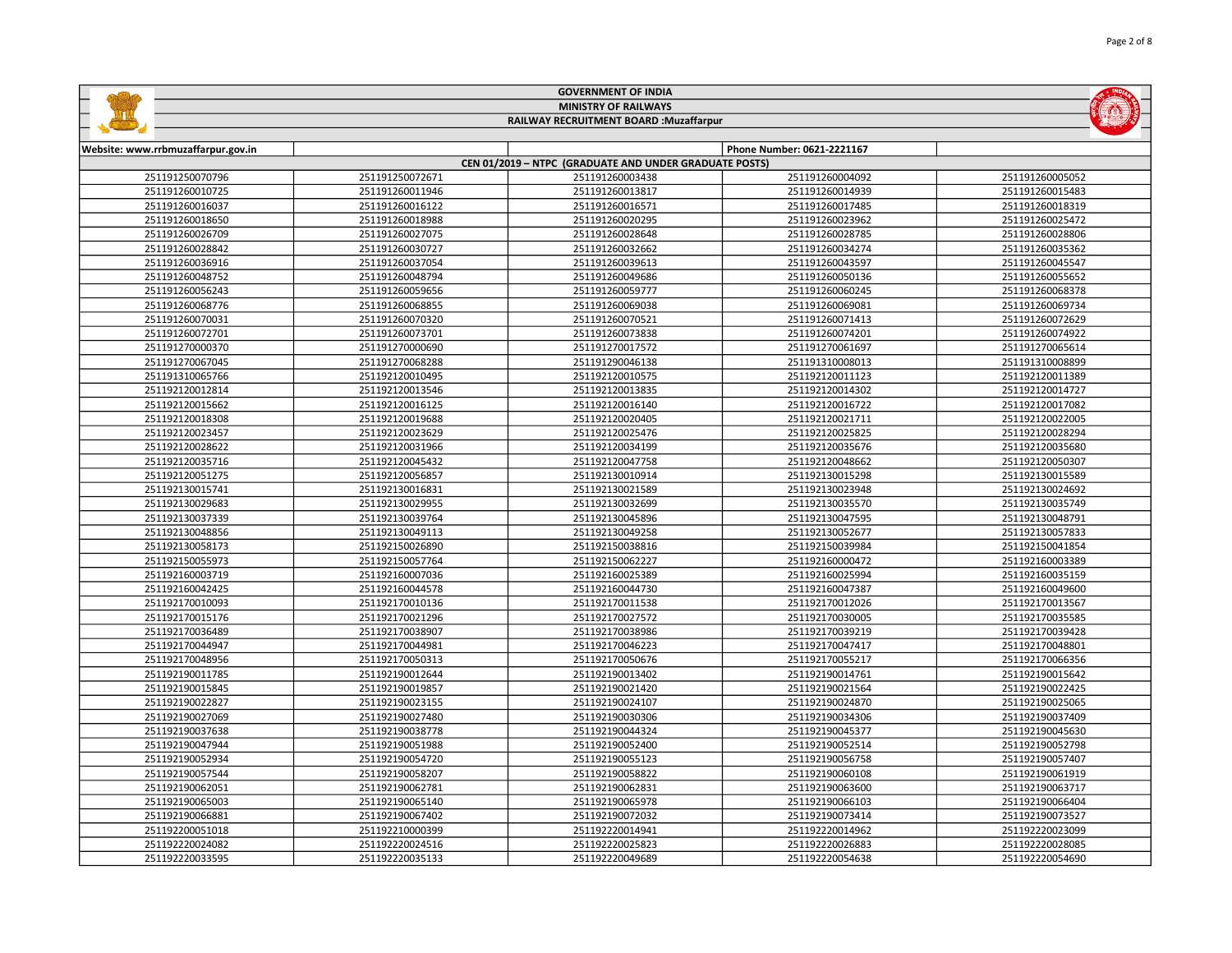|                                         |                                                        | <b>GOVERNMENT OF INDIA</b>  |                            |                  |  |  |  |
|-----------------------------------------|--------------------------------------------------------|-----------------------------|----------------------------|------------------|--|--|--|
|                                         |                                                        | <b>MINISTRY OF RAILWAYS</b> |                            |                  |  |  |  |
| RAILWAY RECRUITMENT BOARD : Muzaffarpur |                                                        |                             |                            |                  |  |  |  |
|                                         |                                                        |                             |                            |                  |  |  |  |
| Website: www.rrbmuzaffarpur.gov.in      |                                                        |                             | Phone Number: 0621-2221167 |                  |  |  |  |
|                                         | CEN 01/2019 - NTPC (GRADUATE AND UNDER GRADUATE POSTS) |                             |                            |                  |  |  |  |
| 251191250070796                         | 251191250072671                                        | 251191260003438             | 251191260004092            | 251191260005052  |  |  |  |
| 251191260010725                         | 251191260011946                                        | 251191260013817             | 251191260014939            | 251191260015483  |  |  |  |
| 251191260016037                         | 251191260016122                                        | 251191260016571             | 251191260017485            | 251191260018319  |  |  |  |
| 251191260018650                         | 251191260018988                                        | 251191260020295             | 251191260023962            | 251191260025472  |  |  |  |
| 251191260026709                         | 251191260027075                                        | 251191260028648             | 251191260028785            | 251191260028806  |  |  |  |
| 251191260028842                         | 251191260030727                                        | 251191260032662             | 251191260034274            | 251191260035362  |  |  |  |
| 251191260036916                         | 251191260037054                                        | 251191260039613             | 251191260043597            | 251191260045547  |  |  |  |
| 251191260048752                         | 251191260048794                                        | 251191260049686             | 251191260050136            | 251191260055652  |  |  |  |
| 251191260056243                         | 251191260059656                                        | 251191260059777             | 251191260060245            | 251191260068378  |  |  |  |
| 251191260068776                         | 251191260068855                                        | 251191260069038             | 251191260069081            | 251191260069734  |  |  |  |
| 251191260070031                         | 251191260070320                                        | 251191260070521             | 251191260071413            | 251191260072629  |  |  |  |
| 251191260072701                         | 251191260073701                                        | 251191260073838             | 251191260074201            | 251191260074922  |  |  |  |
| 251191270000370                         | 251191270000690                                        | 251191270017572             | 251191270061697            | 251191270065614  |  |  |  |
| 251191270067045                         | 251191270068288                                        | 251191290046138             | 251191310008013            | 251191310008899  |  |  |  |
| 251191310065766                         | 251192120010495                                        | 251192120010575             | 251192120011123            | 251192120011389  |  |  |  |
| 251192120012814                         | 251192120013546                                        | 251192120013835             | 251192120014302            | 251192120014727  |  |  |  |
| 251192120015662                         | 251192120016125                                        | 251192120016140             | 251192120016722            | 251192120017082  |  |  |  |
| 251192120018308                         | 251192120019688                                        | 251192120020405             | 251192120021711            | 251192120022005  |  |  |  |
| 251192120023457                         | 251192120023629                                        | 251192120025476             | 251192120025825            | 251192120028294  |  |  |  |
| 251192120028622                         | 251192120031966                                        | 251192120034199             | 251192120035676            | 251192120035680  |  |  |  |
| 251192120035716                         | 251192120045432                                        | 251192120047758             | 251192120048662            | 251192120050307  |  |  |  |
| 251192120051275                         | 251192120056857                                        | 251192130010914             | 251192130015298            | 251192130015589  |  |  |  |
| 251192130015741                         | 251192130016831                                        | 251192130021589             | 251192130023948            | 251192130024692  |  |  |  |
| 251192130029683                         | 251192130029955                                        | 251192130032699             | 251192130035570            | 251192130035749  |  |  |  |
| 251192130037339                         | 251192130039764                                        | 251192130045896             | 251192130047595            | 251192130048791  |  |  |  |
| 251192130048856                         | 251192130049113                                        | 251192130049258             | 251192130052677            | 251192130057833  |  |  |  |
| 251192130058173                         | 251192150026890                                        | 251192150038816             | 251192150039984            | 251192150041854  |  |  |  |
| 0.71100170077070                        | 0.71100170077701                                       |                             |                            | 0.71100100000000 |  |  |  |

| 231132120033710 | ムノエエノムエムソリコンマンム | 4711741400 <del>1</del> 7790 | 231132120070002 | 77777576000000  |
|-----------------|-----------------|------------------------------|-----------------|-----------------|
| 251192120051275 | 251192120056857 | 251192130010914              | 251192130015298 | 251192130015589 |
| 251192130015741 | 251192130016831 | 251192130021589              | 251192130023948 | 251192130024692 |
| 251192130029683 | 251192130029955 | 251192130032699              | 251192130035570 | 251192130035749 |
| 251192130037339 | 251192130039764 | 251192130045896              | 251192130047595 | 251192130048791 |
| 251192130048856 | 251192130049113 | 251192130049258              | 251192130052677 | 251192130057833 |
| 251192130058173 | 251192150026890 | 251192150038816              | 251192150039984 | 251192150041854 |
| 251192150055973 | 251192150057764 | 251192150062227              | 251192160000472 | 251192160003389 |
| 251192160003719 | 251192160007036 | 251192160025389              | 251192160025994 | 251192160035159 |
| 251192160042425 | 251192160044578 | 251192160044730              | 251192160047387 | 251192160049600 |
| 251192170010093 | 251192170010136 | 251192170011538              | 251192170012026 | 251192170013567 |
| 251192170015176 | 251192170021296 | 251192170027572              | 251192170030005 | 251192170035585 |
| 251192170036489 | 251192170038907 | 251192170038986              | 251192170039219 | 251192170039428 |
| 251192170044947 | 251192170044981 | 251192170046223              | 251192170047417 | 251192170048801 |
| 251192170048956 | 251192170050313 | 251192170050676              | 251192170055217 | 251192170066356 |
| 251192190011785 | 251192190012644 | 251192190013402              | 251192190014761 | 251192190015642 |
| 251192190015845 | 251192190019857 | 251192190021420              | 251192190021564 | 251192190022425 |
| 251192190022827 | 251192190023155 | 251192190024107              | 251192190024870 | 251192190025065 |
| 251192190027069 | 251192190027480 | 251192190030306              | 251192190034306 | 251192190037409 |
| 251192190037638 | 251192190038778 | 251192190044324              | 251192190045377 | 251192190045630 |
| 251192190047944 | 251192190051988 | 251192190052400              | 251192190052514 | 251192190052798 |
| 251192190052934 | 251192190054720 | 251192190055123              | 251192190056758 | 251192190057407 |
| 251192190057544 | 251192190058207 | 251192190058822              | 251192190060108 | 251192190061919 |
| 251192190062051 | 251192190062781 | 251192190062831              | 251192190063600 | 251192190063717 |
| 251192190065003 | 251192190065140 | 251192190065978              | 251192190066103 | 251192190066404 |
| 251192190066881 | 251192190067402 | 251192190072032              | 251192190073414 | 251192190073527 |
| 251192200051018 | 251192210000399 | 251192220014941              | 251192220014962 | 251192220023099 |
| 251192220024082 | 251192220024516 | 251192220025823              | 251192220026883 | 251192220028085 |
| 251192220033595 | 251192220035133 | 251192220049689              | 251192220054638 | 251192220054690 |
|                 |                 |                              |                 |                 |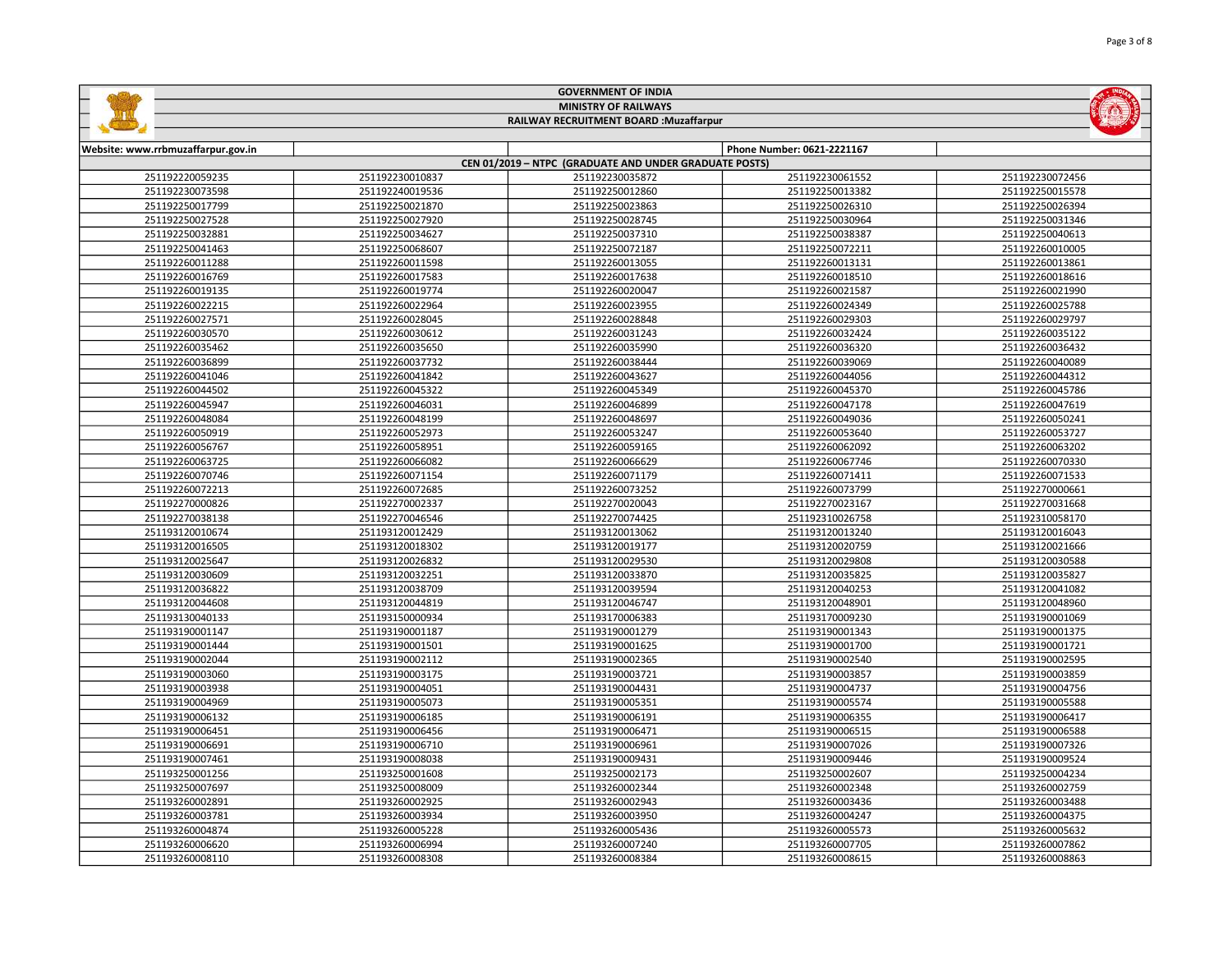|                                         |                 | <b>MINISTRY OF RAILWAYS</b>                            |                            |                 |
|-----------------------------------------|-----------------|--------------------------------------------------------|----------------------------|-----------------|
| RAILWAY RECRUITMENT BOARD : Muzaffarpur |                 |                                                        |                            |                 |
|                                         |                 |                                                        |                            |                 |
| Website: www.rrbmuzaffarpur.gov.in      |                 |                                                        | Phone Number: 0621-2221167 |                 |
|                                         |                 | CEN 01/2019 - NTPC (GRADUATE AND UNDER GRADUATE POSTS) |                            |                 |
| 251192220059235                         | 251192230010837 | 251192230035872                                        | 251192230061552            | 251192230072456 |
| 251192230073598                         | 251192240019536 | 251192250012860                                        | 251192250013382            | 251192250015578 |
| 251192250017799                         | 251192250021870 | 251192250023863                                        | 251192250026310            | 251192250026394 |
| 251192250027528                         | 251192250027920 | 251192250028745                                        | 251192250030964            | 251192250031346 |
| 251192250032881                         | 251192250034627 | 251192250037310                                        | 251192250038387            | 251192250040613 |
| 251192250041463                         | 251192250068607 | 251192250072187                                        | 251192250072211            | 251192260010005 |
| 251192260011288                         | 251192260011598 | 251192260013055                                        | 251192260013131            | 251192260013861 |
| 251192260016769                         | 251192260017583 | 251192260017638                                        | 251192260018510            | 251192260018616 |
| 251192260019135                         | 251192260019774 | 251192260020047                                        | 251192260021587            | 251192260021990 |
| 251192260022215                         | 251192260022964 | 251192260023955                                        | 251192260024349            | 251192260025788 |
| 251192260027571                         | 251192260028045 | 251192260028848                                        | 251192260029303            | 251192260029797 |
| 251192260030570                         | 251192260030612 | 251192260031243                                        | 251192260032424            | 251192260035122 |
| 251192260035462                         | 251192260035650 | 251192260035990                                        | 251192260036320            | 251192260036432 |
| 251192260036899                         | 251192260037732 | 251192260038444                                        | 251192260039069            | 251192260040089 |
| 251192260041046                         | 251192260041842 | 251192260043627                                        | 251192260044056            | 251192260044312 |
| 251192260044502                         | 251192260045322 | 251192260045349                                        | 251192260045370            | 251192260045786 |
| 251192260045947                         | 251192260046031 | 251192260046899                                        | 251192260047178            | 251192260047619 |
| 251192260048084                         | 251192260048199 | 251192260048697                                        | 251192260049036            | 251192260050241 |
| 251192260050919                         | 251192260052973 | 251192260053247                                        | 251192260053640            | 251192260053727 |
| 251192260056767                         | 251192260058951 | 251192260059165                                        | 251192260062092            | 251192260063202 |
| 251192260063725                         | 251192260066082 | 251192260066629                                        | 251192260067746            | 251192260070330 |
| 251192260070746                         | 251192260071154 | 251192260071179                                        | 251192260071411            | 251192260071533 |
| 251192260072213                         | 251192260072685 | 251192260073252                                        | 251192260073799            | 251192270000661 |
| 251192270000826                         | 251192270002337 | 251192270020043                                        | 251192270023167            | 251192270031668 |
| 251192270038138                         | 251192270046546 | 251192270074425                                        | 251192310026758            | 251192310058170 |
| 251193120010674                         | 251193120012429 | 251193120013062                                        | 251193120013240            | 251193120016043 |
| 251193120016505                         | 251193120018302 | 251193120019177                                        | 251193120020759            | 251193120021666 |
| 251193120025647                         | 251193120026832 | 251193120029530                                        | 251193120029808            | 251193120030588 |
| 251193120030609                         | 251193120032251 | 251193120033870                                        | 251193120035825            | 251193120035827 |
| 251193120036822                         | 251193120038709 | 251193120039594                                        | 251193120040253            | 251193120041082 |
| 251193120044608                         | 251193120044819 | 251193120046747                                        | 251193120048901            | 251193120048960 |
| 251193130040133                         | 251193150000934 | 251193170006383                                        | 251193170009230            | 251193190001069 |
| 251193190001147                         | 251193190001187 | 251193190001279                                        | 251193190001343            | 251193190001375 |
| 251193190001444                         | 251193190001501 | 251193190001625                                        | 251193190001700            | 251193190001721 |
| 251193190002044                         | 251193190002112 | 251193190002365                                        | 251193190002540            | 251193190002595 |
| 251193190003060                         | 251193190003175 | 251193190003721                                        | 251193190003857            | 251193190003859 |
| 251193190003938                         | 251193190004051 | 251193190004431                                        | 251193190004737            | 251193190004756 |
| 251193190004969                         | 251193190005073 | 251193190005351                                        | 251193190005574            | 251193190005588 |
| 251193190006132                         | 251193190006185 | 251193190006191                                        | 251193190006355            | 251193190006417 |
| 251193190006451                         | 251193190006456 | 251193190006471                                        | 251193190006515            | 251193190006588 |
| 251193190006691                         | 251193190006710 | 251193190006961                                        | 251193190007026            | 251193190007326 |
| 251193190007461                         | 251193190008038 | 251193190009431                                        | 251193190009446            | 251193190009524 |

 251193250001608 251193250002173 251193250002607 251193250004234 251193250008009 251193260002344 251193260002348 251193260002759 251193260002925 251193260002943 251193260003436 251193260003488 251193260003934 251193260003950 251193260004247 251193260004375 251193260005228 251193260005436 251193260005573 251193260005632 251193260006994 251193260007240 251193260007705 251193260007862 251193260008308 251193260008384 251193260008615 251193260008863

GOVERNMENT OF INDIA

**Sallidge** 

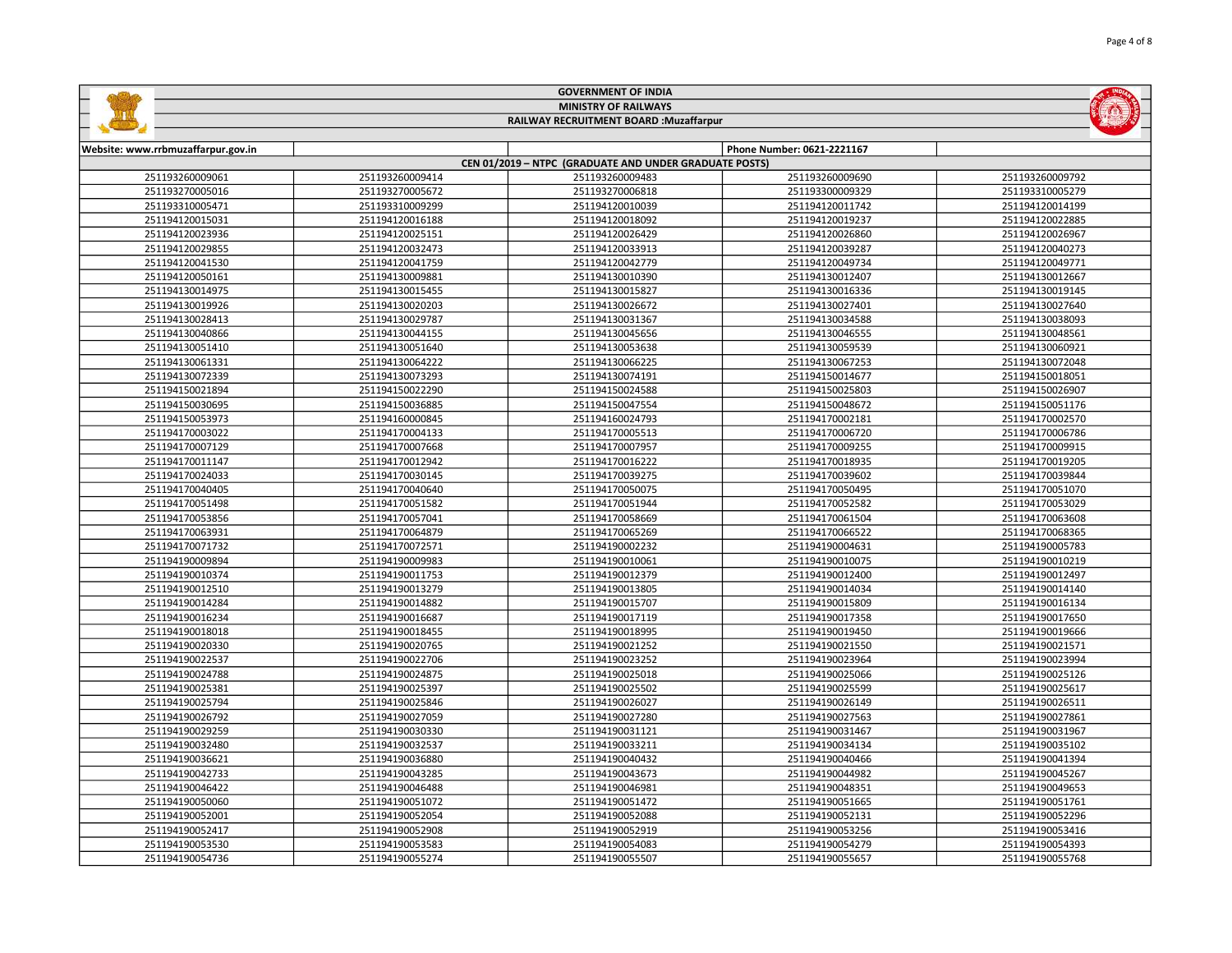|                                    |                             | <b>GOVERNMENT OF INDIA</b>                             |                            |                 |
|------------------------------------|-----------------------------|--------------------------------------------------------|----------------------------|-----------------|
|                                    | <b>MINISTRY OF RAILWAYS</b> |                                                        |                            |                 |
|                                    |                             | RAILWAY RECRUITMENT BOARD : Muzaffarpur                |                            |                 |
|                                    |                             |                                                        |                            |                 |
| Website: www.rrbmuzaffarpur.gov.in |                             |                                                        | Phone Number: 0621-2221167 |                 |
|                                    |                             | CEN 01/2019 - NTPC (GRADUATE AND UNDER GRADUATE POSTS) |                            |                 |
| 251193260009061                    | 251193260009414             | 251193260009483                                        | 251193260009690            | 251193260009792 |
| 251193270005016                    | 251193270005672             | 251193270006818                                        | 251193300009329            | 251193310005279 |
| 251193310005471                    | 251193310009299             | 251194120010039                                        | 251194120011742            | 251194120014199 |
| 251194120015031                    | 251194120016188             | 251194120018092                                        | 251194120019237            | 251194120022885 |
| 251194120023936                    | 251194120025151             | 251194120026429                                        | 251194120026860            | 251194120026967 |
| 251194120029855                    | 251194120032473             | 251194120033913                                        | 251194120039287            | 251194120040273 |
| 251194120041530                    | 251194120041759             | 251194120042779                                        | 251194120049734            | 251194120049771 |
| 251194120050161                    | 251194130009881             | 251194130010390                                        | 251194130012407            | 251194130012667 |
| 251194130014975                    | 251194130015455             | 251194130015827                                        | 251194130016336            | 251194130019145 |
| 251194130019926                    | 251194130020203             | 251194130026672                                        | 251194130027401            | 251194130027640 |
| 251194130028413                    | 251194130029787             | 251194130031367                                        | 251194130034588            | 251194130038093 |
| 251194130040866                    | 251194130044155             | 251194130045656                                        | 251194130046555            | 251194130048561 |
| 251194130051410                    | 251194130051640             | 251194130053638                                        | 251194130059539            | 251194130060921 |
| 251194130061331                    | 251194130064222             | 251194130066225                                        | 251194130067253            | 251194130072048 |
| 251194130072339                    | 251194130073293             | 251194130074191                                        | 251194150014677            | 251194150018051 |
| 251194150021894                    | 251194150022290             | 251194150024588                                        | 251194150025803            | 251194150026907 |
| 251194150030695                    | 251194150036885             | 251194150047554                                        | 251194150048672            | 251194150051176 |
| 251194150053973                    | 251194160000845             | 251194160024793                                        | 251194170002181            | 251194170002570 |
| 251194170003022                    | 251194170004133             | 251194170005513                                        | 251194170006720            | 251194170006786 |
| 251194170007129                    | 251194170007668             | 251194170007957                                        | 251194170009255            | 251194170009915 |
| 251194170011147                    | 251194170012942             | 251194170016222                                        | 251194170018935            | 251194170019205 |
| 251194170024033                    | 251194170030145             | 251194170039275                                        | 251194170039602            | 251194170039844 |
| 251194170040405                    | 251194170040640             | 251194170050075                                        | 251194170050495            | 251194170051070 |
| 251194170051498                    | 251194170051582             | 251194170051944                                        | 251194170052582            | 251194170053029 |
| 251194170053856                    | 251194170057041             | 251194170058669                                        | 251194170061504            | 251194170063608 |
| 251194170063931                    | 251194170064879             | 251194170065269                                        | 251194170066522            | 251194170068365 |
| 251194170071732                    | 251194170072571             | 251194190002232                                        | 251194190004631            | 251194190005783 |
| 251194190009894                    | 251194190009983             | 251194190010061                                        | 251194190010075            | 251194190010219 |
| 251194190010374                    | 251194190011753             | 251194190012379                                        | 251194190012400            | 251194190012497 |
| 251194190012510                    | 251194190013279             | 251194190013805                                        | 251194190014034            | 251194190014140 |
| 251194190014284                    | 251194190014882             | 251194190015707                                        | 251194190015809            | 251194190016134 |
| 251194190016234                    | 251194190016687             | 251194190017119                                        | 251194190017358            | 251194190017650 |
| 251194190018018                    | 251194190018455             | 251194190018995                                        | 251194190019450            | 251194190019666 |
| 251194190020330                    | 251194190020765             | 251194190021252                                        | 251194190021550            | 251194190021571 |
| 251194190022537                    | 251194190022706             | 251194190023252                                        | 251194190023964            | 251194190023994 |
| 251194190024788                    | 251194190024875             | 251194190025018                                        | 251194190025066            | 251194190025126 |
| 251194190025381                    | 251194190025397             | 251194190025502                                        | 251194190025599            | 251194190025617 |
| 251194190025794                    | 251194190025846             | 251194190026027                                        | 251194190026149            | 251194190026511 |

 251194190027059 251194190027280 251194190027563 251194190027861 251194190030330 251194190031121 251194190031467 251194190031967 251194190032537 251194190033211 251194190034134 251194190035102 251194190036880 251194190040432 251194190040466 251194190041394 251194190043285 251194190043673 251194190044982 251194190045267 251194190046488 251194190046981 251194190048351 251194190049653 251194190051072 251194190051472 251194190051665 251194190051761 251194190052054 251194190052088 251194190052131 251194190052296 251194190052908 251194190052919 251194190053256 251194190053416 251194190053583 251194190054083 251194190054279 251194190054393 251194190055274 251194190055507 251194190055657 251194190055768



Page 4 of 8

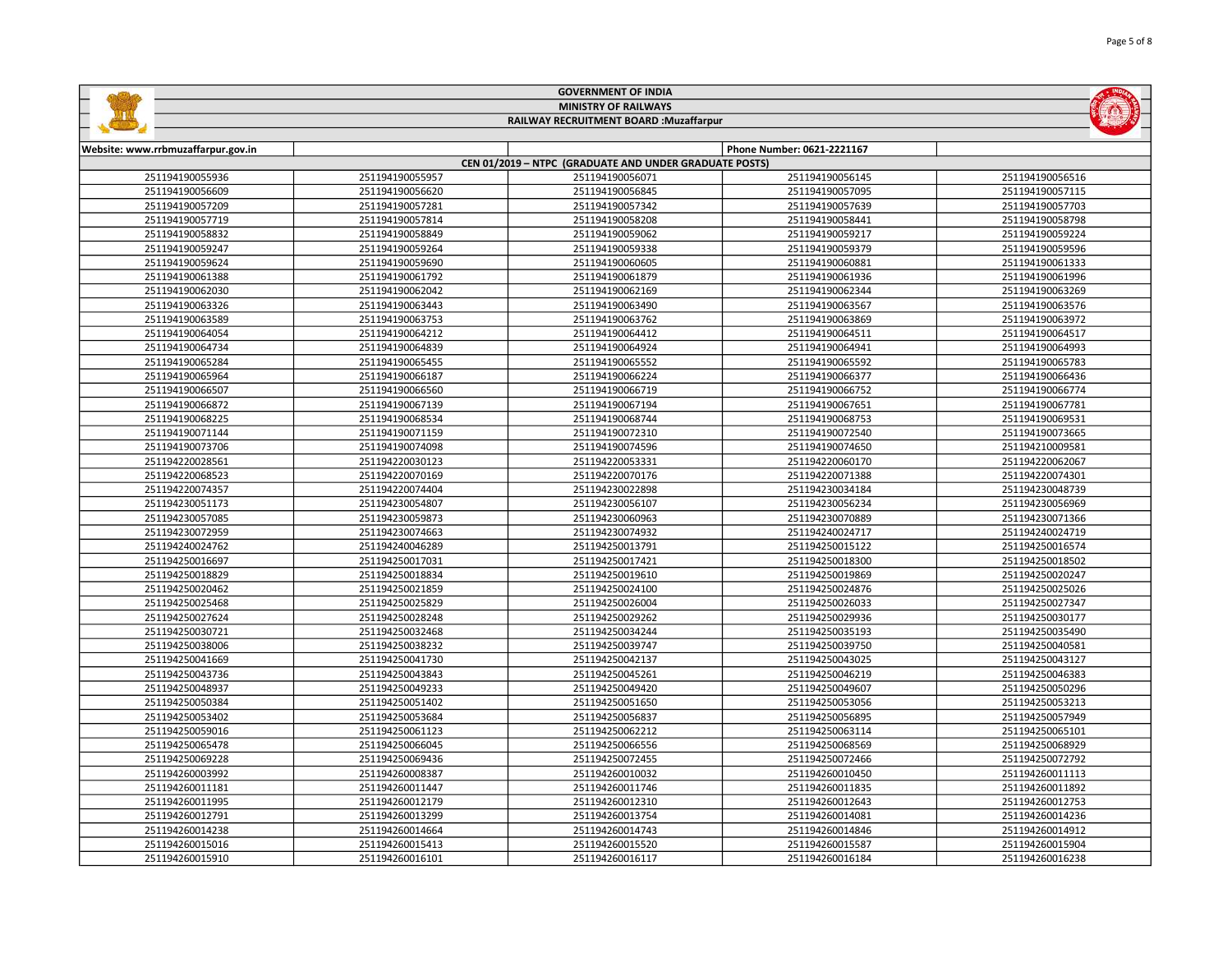|                                    | <b>GOVERNMENT OF INDIA</b>              |                                                        |                            |                 |  |
|------------------------------------|-----------------------------------------|--------------------------------------------------------|----------------------------|-----------------|--|
|                                    | <b>MINISTRY OF RAILWAYS</b>             |                                                        |                            |                 |  |
|                                    | RAILWAY RECRUITMENT BOARD : Muzaffarpur |                                                        |                            |                 |  |
|                                    |                                         |                                                        |                            |                 |  |
| Website: www.rrbmuzaffarpur.gov.in |                                         |                                                        | Phone Number: 0621-2221167 |                 |  |
|                                    |                                         | CEN 01/2019 - NTPC (GRADUATE AND UNDER GRADUATE POSTS) |                            |                 |  |
| 251194190055936                    | 251194190055957                         | 251194190056071                                        | 251194190056145            | 251194190056516 |  |
| 251194190056609                    | 251194190056620                         | 251194190056845                                        | 251194190057095            | 251194190057115 |  |
| 251194190057209                    | 251194190057281                         | 251194190057342                                        | 251194190057639            | 251194190057703 |  |
|                                    |                                         |                                                        |                            |                 |  |

| 251194190057719 | 251194190057814 | 251194190058208 | 251194190058441 | 251194190058798 |
|-----------------|-----------------|-----------------|-----------------|-----------------|
| 251194190058832 | 251194190058849 | 251194190059062 | 251194190059217 | 251194190059224 |
| 251194190059247 | 251194190059264 | 251194190059338 | 251194190059379 | 251194190059596 |
| 251194190059624 | 251194190059690 | 251194190060605 | 251194190060881 | 251194190061333 |
| 251194190061388 | 251194190061792 | 251194190061879 | 251194190061936 | 251194190061996 |
| 251194190062030 | 251194190062042 | 251194190062169 | 251194190062344 | 251194190063269 |
| 251194190063326 | 251194190063443 | 251194190063490 | 251194190063567 | 251194190063576 |
| 251194190063589 | 251194190063753 | 251194190063762 | 251194190063869 | 251194190063972 |
| 251194190064054 | 251194190064212 | 251194190064412 | 251194190064511 | 251194190064517 |
| 251194190064734 | 251194190064839 | 251194190064924 | 251194190064941 | 251194190064993 |
| 251194190065284 | 251194190065455 | 251194190065552 | 251194190065592 | 251194190065783 |
| 251194190065964 | 251194190066187 | 251194190066224 | 251194190066377 | 251194190066436 |
| 251194190066507 | 251194190066560 | 251194190066719 | 251194190066752 | 251194190066774 |
| 251194190066872 | 251194190067139 | 251194190067194 | 251194190067651 | 251194190067781 |
| 251194190068225 | 251194190068534 | 251194190068744 | 251194190068753 | 251194190069531 |
| 251194190071144 | 251194190071159 | 251194190072310 | 251194190072540 | 251194190073665 |
| 251194190073706 | 251194190074098 | 251194190074596 | 251194190074650 | 251194210009581 |
| 251194220028561 | 251194220030123 | 251194220053331 | 251194220060170 | 251194220062067 |
| 251194220068523 | 251194220070169 | 251194220070176 | 251194220071388 | 251194220074301 |
| 251194220074357 | 251194220074404 | 251194230022898 | 251194230034184 | 251194230048739 |
| 251194230051173 | 251194230054807 | 251194230056107 | 251194230056234 | 251194230056969 |
| 251194230057085 | 251194230059873 | 251194230060963 | 251194230070889 | 251194230071366 |
| 251194230072959 | 251194230074663 | 251194230074932 | 251194240024717 | 251194240024719 |
| 251194240024762 | 251194240046289 | 251194250013791 | 251194250015122 | 251194250016574 |
| 251194250016697 | 251194250017031 | 251194250017421 | 251194250018300 | 251194250018502 |
| 251194250018829 | 251194250018834 | 251194250019610 | 251194250019869 | 251194250020247 |
| 251194250020462 | 251194250021859 | 251194250024100 | 251194250024876 | 251194250025026 |
| 251194250025468 | 251194250025829 | 251194250026004 | 251194250026033 | 251194250027347 |
| 251194250027624 | 251194250028248 | 251194250029262 | 251194250029936 | 251194250030177 |
| 251194250030721 | 251194250032468 | 251194250034244 | 251194250035193 | 251194250035490 |
| 251194250038006 | 251194250038232 | 251194250039747 | 251194250039750 | 251194250040581 |
| 251194250041669 | 251194250041730 | 251194250042137 | 251194250043025 | 251194250043127 |
| 251194250043736 | 251194250043843 | 251194250045261 | 251194250046219 | 251194250046383 |
| 251194250048937 | 251194250049233 | 251194250049420 | 251194250049607 | 251194250050296 |
| 251194250050384 | 251194250051402 | 251194250051650 | 251194250053056 | 251194250053213 |
| 251194250053402 | 251194250053684 | 251194250056837 | 251194250056895 | 251194250057949 |
| 251194250059016 | 251194250061123 | 251194250062212 | 251194250063114 | 251194250065101 |
| 251194250065478 | 251194250066045 | 251194250066556 | 251194250068569 | 251194250068929 |
| 251194250069228 | 251194250069436 | 251194250072455 | 251194250072466 | 251194250072792 |
| 251194260003992 | 251194260008387 | 251194260010032 | 251194260010450 | 251194260011113 |
| 251194260011181 | 251194260011447 | 251194260011746 | 251194260011835 | 251194260011892 |
| 251194260011995 | 251194260012179 | 251194260012310 | 251194260012643 | 251194260012753 |
| 251194260012791 | 251194260013299 | 251194260013754 | 251194260014081 | 251194260014236 |
| 251194260014238 | 251194260014664 | 251194260014743 | 251194260014846 | 251194260014912 |
| 251194260015016 | 251194260015413 | 251194260015520 | 251194260015587 | 251194260015904 |

251194260016101 251194260016117 251194260016184 251194260016238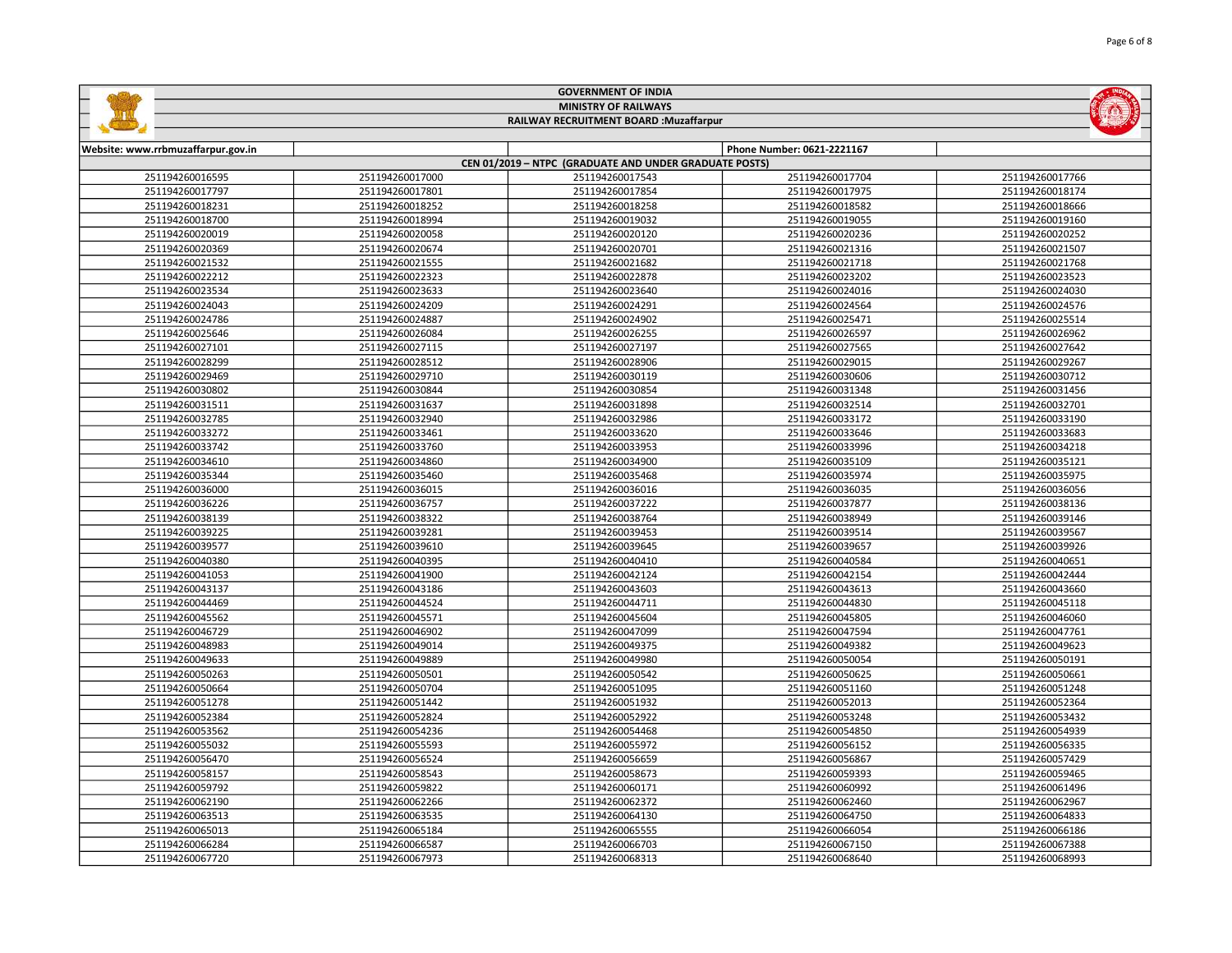|                                                                        | <b>GOVERNMENT OF INDIA</b>                             |                 |                 |                            |                 |
|------------------------------------------------------------------------|--------------------------------------------------------|-----------------|-----------------|----------------------------|-----------------|
| <b>MINISTRY OF RAILWAYS</b><br>RAILWAY RECRUITMENT BOARD : Muzaffarpur |                                                        |                 |                 |                            |                 |
|                                                                        |                                                        |                 |                 | <b>START OF BUILDING</b>   |                 |
|                                                                        |                                                        |                 |                 |                            |                 |
|                                                                        | Website: www.rrbmuzaffarpur.gov.in                     |                 |                 | Phone Number: 0621-2221167 |                 |
|                                                                        | CEN 01/2019 - NTPC (GRADUATE AND UNDER GRADUATE POSTS) |                 |                 |                            |                 |
|                                                                        | 251194260016595                                        | 251194260017000 | 251194260017543 | 251194260017704            | 251194260017766 |
|                                                                        |                                                        |                 |                 |                            |                 |

| <b>LUITUUUILUUJU</b> | ZJ1134ZUUU17UUU | 2J11J4200017J4J | ZJIIJ4ZUUUI//U4 | 2J11J4200017700 |
|----------------------|-----------------|-----------------|-----------------|-----------------|
| 251194260017797      | 251194260017801 | 251194260017854 | 251194260017975 | 251194260018174 |
| 251194260018231      | 251194260018252 | 251194260018258 | 251194260018582 | 251194260018666 |
| 251194260018700      | 251194260018994 | 251194260019032 | 251194260019055 | 251194260019160 |
| 251194260020019      | 251194260020058 | 251194260020120 | 251194260020236 | 251194260020252 |
| 251194260020369      | 251194260020674 | 251194260020701 | 251194260021316 | 251194260021507 |
| 251194260021532      | 251194260021555 | 251194260021682 | 251194260021718 | 251194260021768 |
| 251194260022212      | 251194260022323 | 251194260022878 | 251194260023202 | 251194260023523 |
| 251194260023534      | 251194260023633 | 251194260023640 | 251194260024016 | 251194260024030 |
| 251194260024043      | 251194260024209 | 251194260024291 | 251194260024564 | 251194260024576 |
| 251194260024786      | 251194260024887 | 251194260024902 | 251194260025471 | 251194260025514 |
| 251194260025646      | 251194260026084 | 251194260026255 | 251194260026597 | 251194260026962 |
| 251194260027101      | 251194260027115 | 251194260027197 | 251194260027565 | 251194260027642 |
| 251194260028299      | 251194260028512 | 251194260028906 | 251194260029015 | 251194260029267 |
| 251194260029469      | 251194260029710 | 251194260030119 | 251194260030606 | 251194260030712 |
| 251194260030802      | 251194260030844 | 251194260030854 | 251194260031348 | 251194260031456 |
| 251194260031511      | 251194260031637 | 251194260031898 | 251194260032514 | 251194260032701 |
| 251194260032785      | 251194260032940 | 251194260032986 | 251194260033172 | 251194260033190 |
| 251194260033272      | 251194260033461 | 251194260033620 | 251194260033646 | 251194260033683 |
| 251194260033742      | 251194260033760 | 251194260033953 | 251194260033996 | 251194260034218 |
| 251194260034610      | 251194260034860 | 251194260034900 | 251194260035109 | 251194260035121 |
| 251194260035344      | 251194260035460 | 251194260035468 | 251194260035974 | 251194260035975 |
| 251194260036000      | 251194260036015 | 251194260036016 | 251194260036035 | 251194260036056 |
| 251194260036226      | 251194260036757 | 251194260037222 | 251194260037877 | 251194260038136 |
| 251194260038139      | 251194260038322 | 251194260038764 | 251194260038949 | 251194260039146 |
| 251194260039225      | 251194260039281 | 251194260039453 | 251194260039514 | 251194260039567 |
| 251194260039577      | 251194260039610 | 251194260039645 | 251194260039657 | 251194260039926 |
| 251194260040380      | 251194260040395 | 251194260040410 | 251194260040584 | 251194260040651 |
| 251194260041053      | 251194260041900 | 251194260042124 | 251194260042154 | 251194260042444 |
| 251194260043137      | 251194260043186 | 251194260043603 | 251194260043613 | 251194260043660 |
| 251194260044469      | 251194260044524 | 251194260044711 | 251194260044830 | 251194260045118 |
| 251194260045562      | 251194260045571 | 251194260045604 | 251194260045805 | 251194260046060 |
| 251194260046729      | 251194260046902 | 251194260047099 | 251194260047594 | 251194260047761 |
| 251194260048983      | 251194260049014 | 251194260049375 | 251194260049382 | 251194260049623 |
| 251194260049633      | 251194260049889 | 251194260049980 | 251194260050054 | 251194260050191 |
| 251194260050263      | 251194260050501 | 251194260050542 | 251194260050625 | 251194260050661 |
| 251194260050664      | 251194260050704 | 251194260051095 | 251194260051160 | 251194260051248 |
| 251194260051278      | 251194260051442 | 251194260051932 | 251194260052013 | 251194260052364 |
| 251194260052384      | 251194260052824 | 251194260052922 | 251194260053248 | 251194260053432 |
| 251194260053562      | 251194260054236 | 251194260054468 | 251194260054850 | 251194260054939 |
| 251194260055032      | 251194260055593 | 251194260055972 | 251194260056152 | 251194260056335 |
| 251194260056470      | 251194260056524 | 251194260056659 | 251194260056867 | 251194260057429 |
| 251194260058157      | 251194260058543 | 251194260058673 | 251194260059393 | 251194260059465 |
| 251194260059792      | 251194260059822 | 251194260060171 | 251194260060992 | 251194260061496 |
| 251194260062190      | 251194260062266 | 251194260062372 | 251194260062460 | 251194260062967 |
| 251194260063513      | 251194260063535 | 251194260064130 | 251194260064750 | 251194260064833 |
| 251194260065013      | 251194260065184 | 251194260065555 | 251194260066054 | 251194260066186 |
| 251194260066284      | 251194260066587 | 251194260066703 | 251194260067150 | 251194260067388 |
| 251194260067720      | 251194260067973 | 251194260068313 | 251194260068640 | 251194260068993 |

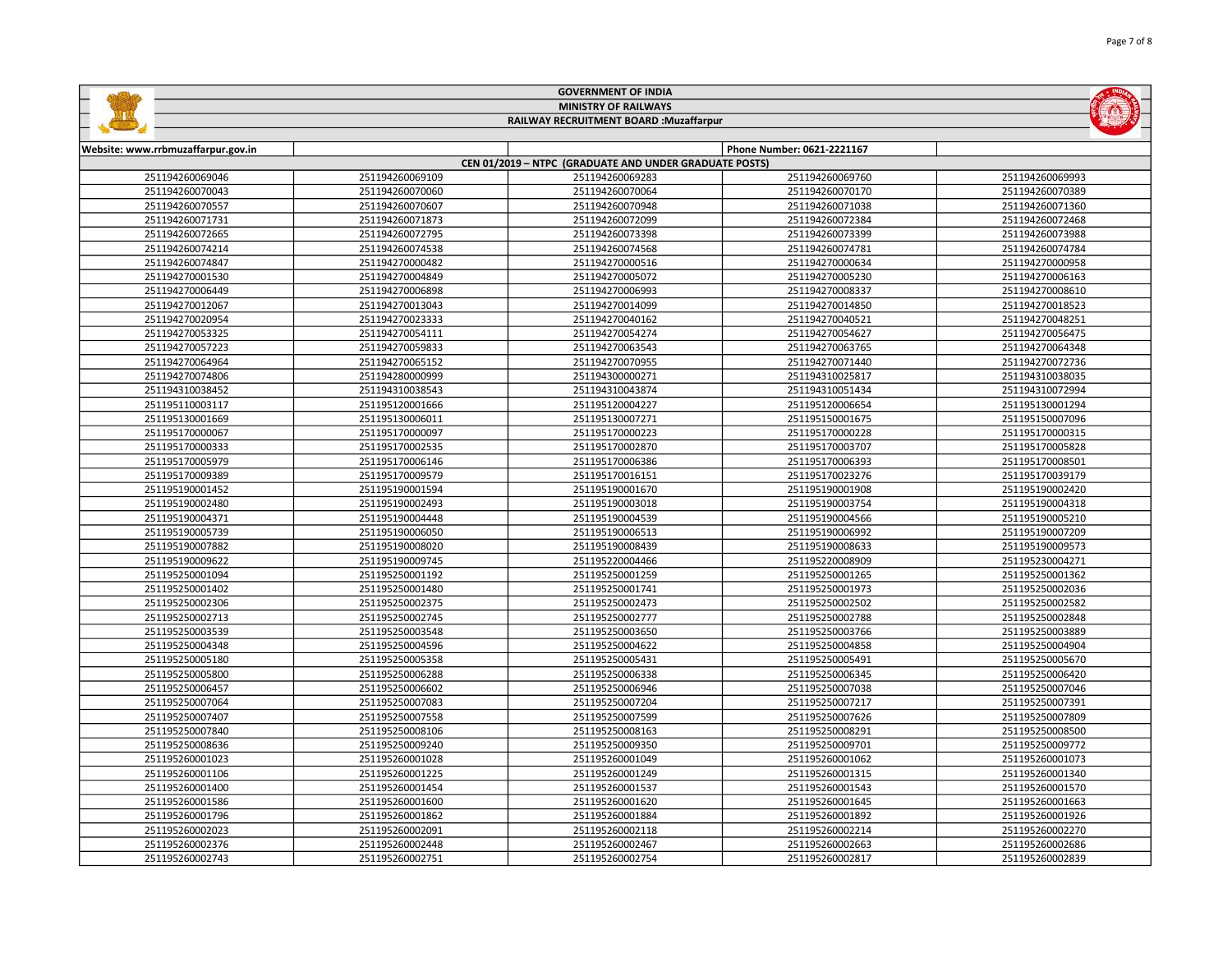| <b>MINISTRY OF RAILWAYS</b><br>RAILWAY RECRUITMENT BOARD : Muzaffarpur |                 |                                                        |                            |                 |  |
|------------------------------------------------------------------------|-----------------|--------------------------------------------------------|----------------------------|-----------------|--|
|                                                                        |                 |                                                        |                            |                 |  |
| Website: www.rrbmuzaffarpur.gov.in                                     |                 |                                                        | Phone Number: 0621-2221167 |                 |  |
|                                                                        |                 | CEN 01/2019 - NTPC (GRADUATE AND UNDER GRADUATE POSTS) |                            |                 |  |
| 251194260069046                                                        | 251194260069109 | 251194260069283                                        | 251194260069760            | 251194260069993 |  |
| 251194260070043                                                        | 251194260070060 | 251194260070064                                        | 251194260070170            | 251194260070389 |  |
| 251194260070557                                                        | 251194260070607 | 251194260070948                                        | 251194260071038            | 251194260071360 |  |
| 251194260071731                                                        | 251194260071873 | 251194260072099                                        | 251194260072384            | 251194260072468 |  |
| 251194260072665                                                        | 251194260072795 | 251194260073398                                        | 251194260073399            | 251194260073988 |  |
| 251194260074214                                                        | 251194260074538 | 251194260074568                                        | 251194260074781            | 251194260074784 |  |
| 251194260074847                                                        | 251194270000482 | 251194270000516                                        | 251194270000634            | 251194270000958 |  |
| 251194270001530                                                        | 251194270004849 | 251194270005072                                        | 251194270005230            | 251194270006163 |  |
| 251194270006449                                                        | 251194270006898 | 251194270006993                                        | 251194270008337            | 251194270008610 |  |
| 251194270012067                                                        | 251194270013043 | 251194270014099                                        | 251194270014850            | 251194270018523 |  |
| 251194270020954                                                        | 251194270023333 | 251194270040162                                        | 251194270040521            | 251194270048251 |  |
| 251194270053325                                                        | 251194270054111 | 251194270054274                                        | 251194270054627            | 251194270056475 |  |
| 251194270057223                                                        | 251194270059833 | 251194270063543                                        | 251194270063765            | 251194270064348 |  |
| 251194270064964                                                        | 251194270065152 | 251194270070955                                        | 251194270071440            | 251194270072736 |  |
| 251194270074806                                                        | 251194280000999 | 251194300000271                                        | 251194310025817            | 251194310038035 |  |
| 251194310038452                                                        | 251194310038543 | 251194310043874                                        | 251194310051434            | 251194310072994 |  |
| 251195110003117                                                        | 251195120001666 | 251195120004227                                        | 251195120006654            | 251195130001294 |  |
| 251195130001669                                                        | 251195130006011 | 251195130007271                                        | 251195150001675            | 251195150007096 |  |
| 251195170000067                                                        | 251195170000097 | 251195170000223                                        | 251195170000228            | 251195170000315 |  |
| 251195170000333                                                        | 251195170002535 | 251195170002870                                        | 251195170003707            | 251195170005828 |  |
| 251195170005979                                                        | 251195170006146 | 251195170006386                                        | 251195170006393            | 251195170008501 |  |
| 251195170009389                                                        | 251195170009579 | 251195170016151                                        | 251195170023276            | 251195170039179 |  |
| 251195190001452                                                        | 251195190001594 | 251195190001670                                        | 251195190001908            | 251195190002420 |  |
| 251195190002480                                                        | 251195190002493 | 251195190003018                                        | 251195190003754            | 251195190004318 |  |
| 251195190004371                                                        | 251195190004448 | 251195190004539                                        | 251195190004566            | 251195190005210 |  |
| 251195190005739                                                        | 251195190006050 | 251195190006513                                        | 251195190006992            | 251195190007209 |  |
| 251195190007882                                                        | 251195190008020 | 251195190008439                                        | 251195190008633            | 251195190009573 |  |
| 251195190009622                                                        | 251195190009745 | 251195220004466                                        | 251195220008909            | 251195230004271 |  |
| 251195250001094                                                        | 251195250001192 | 251195250001259                                        | 251195250001265            | 251195250001362 |  |
| 251195250001402                                                        | 251195250001480 | 251195250001741                                        | 251195250001973            | 251195250002036 |  |
| 251195250002306                                                        | 251195250002375 | 251195250002473                                        | 251195250002502            | 251195250002582 |  |
| 251195250002713                                                        | 251195250002745 | 251195250002777                                        | 251195250002788            | 251195250002848 |  |
| 251195250003539                                                        | 251195250003548 | 251195250003650                                        | 251195250003766            | 251195250003889 |  |
| 251195250004348                                                        | 251195250004596 | 251195250004622                                        | 251195250004858            | 251195250004904 |  |
| 251195250005180                                                        | 251195250005358 | 251195250005431                                        | 251195250005491            | 251195250005670 |  |
| 251195250005800                                                        | 251195250006288 | 251195250006338                                        | 251195250006345            | 251195250006420 |  |
| 251195250006457                                                        | 251195250006602 | 251195250006946                                        | 251195250007038            | 251195250007046 |  |
| 251195250007064                                                        | 251195250007083 | 251195250007204                                        | 251195250007217            | 251195250007391 |  |

 251195250007558 251195250007599 251195250007626 251195250007809 251195250008106 251195250008163 251195250008291 251195250008500 251195250009240 251195250009350 251195250009701 251195250009772 251195260001028 251195260001049 251195260001062 251195260001073 251195260001225 251195260001249 251195260001315 251195260001340 251195260001454 251195260001537 251195260001543 251195260001570 251195260001600 251195260001620 251195260001645 251195260001663 251195260001862 251195260001884 251195260001892 251195260001926 251195260002091 251195260002118 251195260002214 251195260002270 251195260002448 251195260002467 251195260002663 251195260002686 251195260002751 251195260002754 251195260002817 251195260002839

GOVERNMENT OF INDIA

 $650<sub>0</sub>$ 

INDIAN